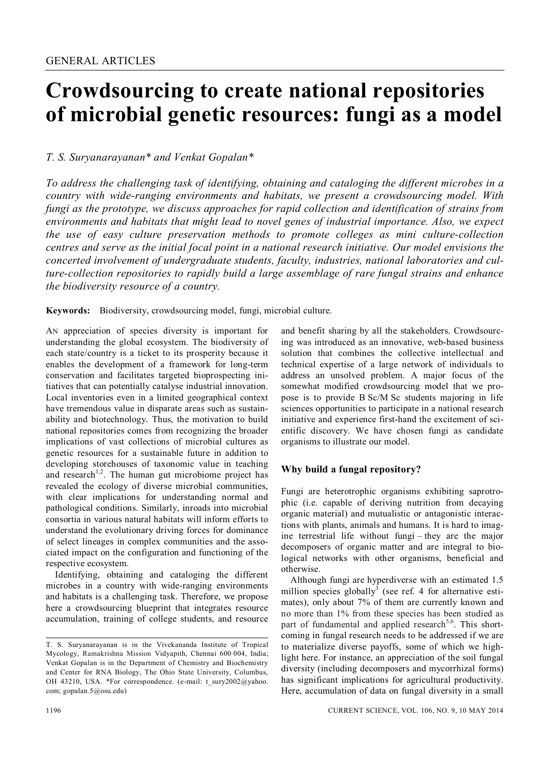# **Crowdsourcing to create national repositories of microbial genetic resources: fungi as a model**

# *T. S. Suryanarayanan\* and Venkat Gopalan\**

*To address the challenging task of identifying, obtaining and cataloging the different microbes in a country with wide-ranging environments and habitats, we present a crowdsourcing model. With fungi as the prototype, we discuss approaches for rapid collection and identification of strains from environments and habitats that might lead to novel genes of industrial importance. Also, we expect the use of easy culture preservation methods to promote colleges as mini culture-collection centres and serve as the initial focal point in a national research initiative. Our model envisions the concerted involvement of undergraduate students, faculty, industries, national laboratories and culture-collection repositories to rapidly build a large assemblage of rare fungal strains and enhance the biodiversity resource of a country.*

**Keywords:** Biodiversity, crowdsourcing model, fungi, microbial culture.

AN appreciation of species diversity is important for understanding the global ecosystem. The biodiversity of each state/country is a ticket to its prosperity because it enables the development of a framework for long-term conservation and facilitates targeted bioprospecting initiatives that can potentially catalyse industrial innovation. Local inventories even in a limited geographical context have tremendous value in disparate areas such as sustainability and biotechnology. Thus, the motivation to build national repositories comes from recognizing the broader implications of vast collections of microbial cultures as genetic resources for a sustainable future in addition to developing storehouses of taxonomic value in teaching and research<sup>1,2</sup>. The human gut microbiome project has revealed the ecology of diverse microbial communities, with clear implications for understanding normal and pathological conditions. Similarly, inroads into microbial consortia in various natural habitats will inform efforts to understand the evolutionary driving forces for dominance of select lineages in complex communities and the associated impact on the configuration and functioning of the respective ecosystem.

Identifying, obtaining and cataloging the different microbes in a country with wide-ranging environments and habitats is a challenging task. Therefore, we propose here a crowdsourcing blueprint that integrates resource accumulation, training of college students, and resource

and benefit sharing by all the stakeholders. Crowdsourcing was introduced as an innovative, web-based business solution that combines the collective intellectual and technical expertise of a large network of individuals to address an unsolved problem. A major focus of the somewhat modified crowdsourcing model that we propose is to provide B Sc/M Sc students majoring in life sciences opportunities to participate in a national research initiative and experience first-hand the excitement of scientific discovery. We have chosen fungi as candidate organisms to illustrate our model.

# **Why build a fungal repository?**

Fungi are heterotrophic organisms exhibiting saprotrophic (i.e. capable of deriving nutrition from decaying organic material) and mutualistic or antagonistic interactions with plants, animals and humans. It is hard to imagine terrestrial life without fungi – they are the major decomposers of organic matter and are integral to biological networks with other organisms, beneficial and otherwise.

Although fungi are hyperdiverse with an estimated 1.5 million species globally<sup>3</sup> (see ref. 4 for alternative estimates), only about 7% of them are currently known and no more than 1% from these species has been studied as part of fundamental and applied research<sup>5,6</sup>. This shortcoming in fungal research needs to be addressed if we are to materialize diverse payoffs, some of which we highlight here. For instance, an appreciation of the soil fungal diversity (including decomposers and mycorrhizal forms) has significant implications for agricultural productivity. Here, accumulation of data on fungal diversity in a small

T. S. Suryanarayanan is in the Vivekananda Institute of Tropical Mycology, Ramakrishna Mission Vidyapith, Chennai 600 004, India; Venkat Gopalan is in the Department of Chemistry and Biochemistry and Center for RNA Biology, The Ohio State University, Columbus, OH 43210, USA. \*For correspondence. (e-mail: t\_sury2002@yahoo. com; gopalan.5@osu.edu)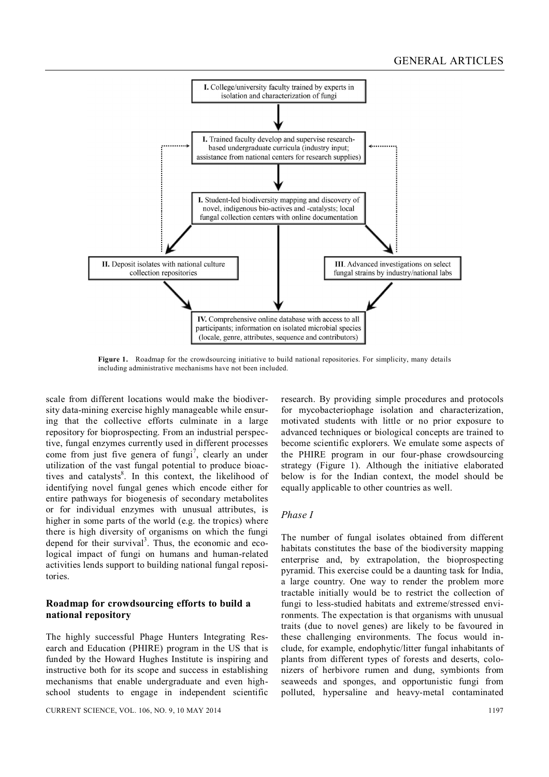

**Figure 1.** Roadmap for the crowdsourcing initiative to build national repositories. For simplicity, many details including administrative mechanisms have not been included.

scale from different locations would make the biodiversity data-mining exercise highly manageable while ensuring that the collective efforts culminate in a large repository for bioprospecting. From an industrial perspective, fungal enzymes currently used in different processes come from just five genera of fungi<sup>7</sup>, clearly an under utilization of the vast fungal potential to produce bioactives and catalysts<sup>8</sup>. In this context, the likelihood of identifying novel fungal genes which encode either for entire pathways for biogenesis of secondary metabolites or for individual enzymes with unusual attributes, is higher in some parts of the world (e.g. the tropics) where there is high diversity of organisms on which the fungi depend for their survival<sup>3</sup>. Thus, the economic and ecological impact of fungi on humans and human-related activities lends support to building national fungal repositories.

## **Roadmap for crowdsourcing efforts to build a national repository**

The highly successful Phage Hunters Integrating Research and Education (PHIRE) program in the US that is funded by the Howard Hughes Institute is inspiring and instructive both for its scope and success in establishing mechanisms that enable undergraduate and even highschool students to engage in independent scientific

research. By providing simple procedures and protocols for mycobacteriophage isolation and characterization, motivated students with little or no prior exposure to advanced techniques or biological concepts are trained to become scientific explorers. We emulate some aspects of the PHIRE program in our four-phase crowdsourcing strategy (Figure 1). Although the initiative elaborated below is for the Indian context, the model should be equally applicable to other countries as well.

## *Phase I*

The number of fungal isolates obtained from different habitats constitutes the base of the biodiversity mapping enterprise and, by extrapolation, the bioprospecting pyramid. This exercise could be a daunting task for India, a large country. One way to render the problem more tractable initially would be to restrict the collection of fungi to less-studied habitats and extreme/stressed environments. The expectation is that organisms with unusual traits (due to novel genes) are likely to be favoured in these challenging environments. The focus would include, for example, endophytic/litter fungal inhabitants of plants from different types of forests and deserts, colonizers of herbivore rumen and dung, symbionts from seaweeds and sponges, and opportunistic fungi from polluted, hypersaline and heavy-metal contaminated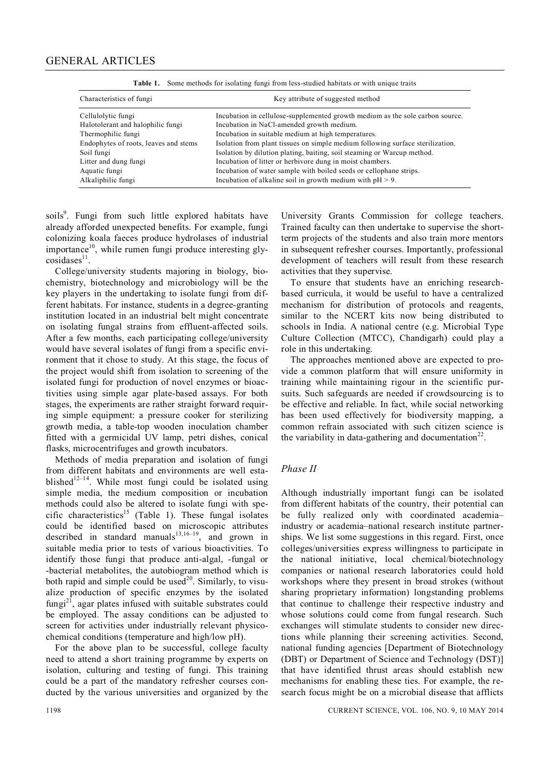| Characteristics of fungi              | Key attribute of suggested method                                              |
|---------------------------------------|--------------------------------------------------------------------------------|
| Cellulolytic fungi                    | Incubation in cellulose-supplemented growth medium as the sole carbon source.  |
| Halotolerant and halophilic fungi     | Incubation in NaCl-amended growth medium.                                      |
| Thermophilic fungi                    | Incubation in suitable medium at high temperatures.                            |
| Endophytes of roots, leaves and stems | Isolation from plant tissues on simple medium following surface sterilization. |
| Soil fungi                            | Isolation by dilution plating, baiting, soil steaming or Warcup method.        |
| Litter and dung fungi                 | Incubation of litter or herbivore dung in moist chambers.                      |
| Aquatic fungi                         | Incubation of water sample with boiled seeds or cellophane strips.             |
| Alkaliphilic fungi                    | Incubation of alkaline soil in growth medium with $pH > 9$ .                   |

**Table 1.** Some methods for isolating fungi from less-studied habitats or with unique traits

soils<sup>9</sup>. Fungi from such little explored habitats have already afforded unexpected benefits. For example, fungi colonizing koala faeces produce hydrolases of industrial importance $10$ , while rumen fungi produce interesting gly- $\cosidases^{11}$ .

College/university students majoring in biology, biochemistry, biotechnology and microbiology will be the key players in the undertaking to isolate fungi from different habitats. For instance, students in a degree-granting institution located in an industrial belt might concentrate on isolating fungal strains from effluent-affected soils. After a few months, each participating college/university would have several isolates of fungi from a specific environment that it chose to study. At this stage, the focus of the project would shift from isolation to screening of the isolated fungi for production of novel enzymes or bioactivities using simple agar plate-based assays. For both stages, the experiments are rather straight forward requiring simple equipment: a pressure cooker for sterilizing growth media, a table-top wooden inoculation chamber fitted with a germicidal UV lamp, petri dishes, conical flasks, microcentrifuges and growth incubators.

Methods of media preparation and isolation of fungi from different habitats and environments are well established $12-14$ . While most fungi could be isolated using simple media, the medium composition or incubation methods could also be altered to isolate fungi with specific characteristics<sup>15</sup> (Table 1). These fungal isolates could be identified based on microscopic attributes described in standard manuals $13,16-19$ , and grown in suitable media prior to tests of various bioactivities. To identify those fungi that produce anti-algal, -fungal or -bacterial metabolites, the autobiogram method which is both rapid and simple could be used<sup>20</sup>. Similarly, to visualize production of specific enzymes by the isolated  $fungi<sup>21</sup>$ , agar plates infused with suitable substrates could be employed. The assay conditions can be adjusted to screen for activities under industrially relevant physicochemical conditions (temperature and high/low pH).

For the above plan to be successful, college faculty need to attend a short training programme by experts on isolation, culturing and testing of fungi. This training could be a part of the mandatory refresher courses conducted by the various universities and organized by the

University Grants Commission for college teachers. Trained faculty can then undertake to supervise the shortterm projects of the students and also train more mentors in subsequent refresher courses. Importantly, professional development of teachers will result from these research activities that they supervise.

To ensure that students have an enriching researchbased curricula, it would be useful to have a centralized mechanism for distribution of protocols and reagents, similar to the NCERT kits now being distributed to schools in India. A national centre (e.g. Microbial Type Culture Collection (MTCC), Chandigarh) could play a role in this undertaking.

The approaches mentioned above are expected to provide a common platform that will ensure uniformity in training while maintaining rigour in the scientific pursuits. Such safeguards are needed if crowdsourcing is to be effective and reliable. In fact, while social networking has been used effectively for biodiversity mapping, a common refrain associated with such citizen science is the variability in data-gathering and documentation<sup>22</sup>.

#### *Phase II*

Although industrially important fungi can be isolated from different habitats of the country, their potential can be fully realized only with coordinated academia– industry or academia–national research institute partnerships. We list some suggestions in this regard. First, once colleges/universities express willingness to participate in the national initiative, local chemical/biotechnology companies or national research laboratories could hold workshops where they present in broad strokes (without sharing proprietary information) longstanding problems that continue to challenge their respective industry and whose solutions could come from fungal research. Such exchanges will stimulate students to consider new directions while planning their screening activities. Second, national funding agencies [Department of Biotechnology (DBT) or Department of Science and Technology (DST)] that have identified thrust areas should establish new mechanisms for enabling these ties. For example, the research focus might be on a microbial disease that afflicts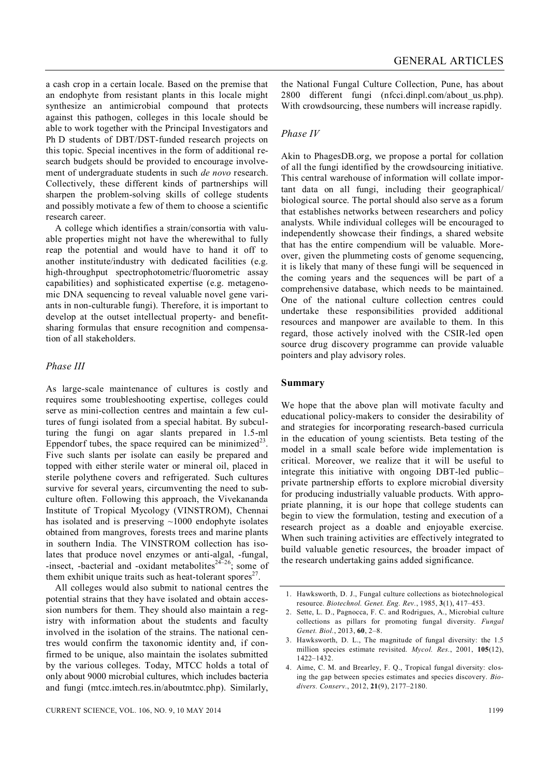a cash crop in a certain locale. Based on the premise that an endophyte from resistant plants in this locale might synthesize an antimicrobial compound that protects against this pathogen, colleges in this locale should be able to work together with the Principal Investigators and Ph D students of DBT/DST-funded research projects on this topic. Special incentives in the form of additional research budgets should be provided to encourage involvement of undergraduate students in such *de novo* research. Collectively, these different kinds of partnerships will sharpen the problem-solving skills of college students and possibly motivate a few of them to choose a scientific research career.

A college which identifies a strain/consortia with valuable properties might not have the wherewithal to fully reap the potential and would have to hand it off to another institute/industry with dedicated facilities (e.g. high-throughput spectrophotometric/fluorometric assay capabilities) and sophisticated expertise (e.g. metagenomic DNA sequencing to reveal valuable novel gene variants in non-culturable fungi). Therefore, it is important to develop at the outset intellectual property- and benefitsharing formulas that ensure recognition and compensation of all stakeholders.

## *Phase III*

As large-scale maintenance of cultures is costly and requires some troubleshooting expertise, colleges could serve as mini-collection centres and maintain a few cultures of fungi isolated from a special habitat. By subculturing the fungi on agar slants prepared in 1.5-ml Eppendorf tubes, the space required can be minimized<sup>23</sup>. Five such slants per isolate can easily be prepared and topped with either sterile water or mineral oil, placed in sterile polythene covers and refrigerated. Such cultures survive for several years, circumventing the need to subculture often. Following this approach, the Vivekananda Institute of Tropical Mycology (VINSTROM), Chennai has isolated and is preserving  $~1000$  endophyte isolates obtained from mangroves, forests trees and marine plants in southern India. The VINSTROM collection has isolates that produce novel enzymes or anti-algal, -fungal, -insect, -bacterial and -oxidant metabolites<sup>24–26</sup>; some of them exhibit unique traits such as heat-tolerant spores $2^7$ .

All colleges would also submit to national centres the potential strains that they have isolated and obtain accession numbers for them. They should also maintain a registry with information about the students and faculty involved in the isolation of the strains. The national centres would confirm the taxonomic identity and, if confirmed to be unique, also maintain the isolates submitted by the various colleges. Today, MTCC holds a total of only about 9000 microbial cultures, which includes bacteria and fungi (mtcc.imtech.res.in/aboutmtcc.php). Similarly, the National Fungal Culture Collection, Pune, has about 2800 different fungi (nfcci.dinpl.com/about\_us.php). With crowdsourcing, these numbers will increase rapidly.

# *Phase IV*

Akin to PhagesDB.org, we propose a portal for collation of all the fungi identified by the crowdsourcing initiative. This central warehouse of information will collate important data on all fungi, including their geographical/ biological source. The portal should also serve as a forum that establishes networks between researchers and policy analysts. While individual colleges will be encouraged to independently showcase their findings, a shared website that has the entire compendium will be valuable. Moreover, given the plummeting costs of genome sequencing, it is likely that many of these fungi will be sequenced in the coming years and the sequences will be part of a comprehensive database, which needs to be maintained. One of the national culture collection centres could undertake these responsibilities provided additional resources and manpower are available to them. In this regard, those actively inolved with the CSIR-led open source drug discovery programme can provide valuable pointers and play advisory roles.

# **Summary**

We hope that the above plan will motivate faculty and educational policy-makers to consider the desirability of and strategies for incorporating research-based curricula in the education of young scientists. Beta testing of the model in a small scale before wide implementation is critical. Moreover, we realize that it will be useful to integrate this initiative with ongoing DBT-led public– private partnership efforts to explore microbial diversity for producing industrially valuable products. With appropriate planning, it is our hope that college students can begin to view the formulation, testing and execution of a research project as a doable and enjoyable exercise. When such training activities are effectively integrated to build valuable genetic resources, the broader impact of the research undertaking gains added significance.

<sup>1.</sup> Hawksworth, D. J., Fungal culture collections as biotechnological resource. *Biotechnol. Genet. Eng. Rev.*, 1985, **3**(1), 417–453.

<sup>2.</sup> Sette, L. D., Pagnocca, F. C. and Rodrigues, A., Microbial culture collections as pillars for promoting fungal diversity. *Fungal Genet. Biol.*, 2013, **60**, 2–8.

<sup>3.</sup> Hawksworth, D. L., The magnitude of fungal diversity: the 1.5 million species estimate revisited. *Mycol. Res.*, 2001, **105**(12), 1422–1432.

<sup>4.</sup> Aime, C. M. and Brearley, F. Q., Tropical fungal diversity: closing the gap between species estimates and species discovery. *Biodivers. Conserv.*, 2012, **21**(9), 2177–2180.